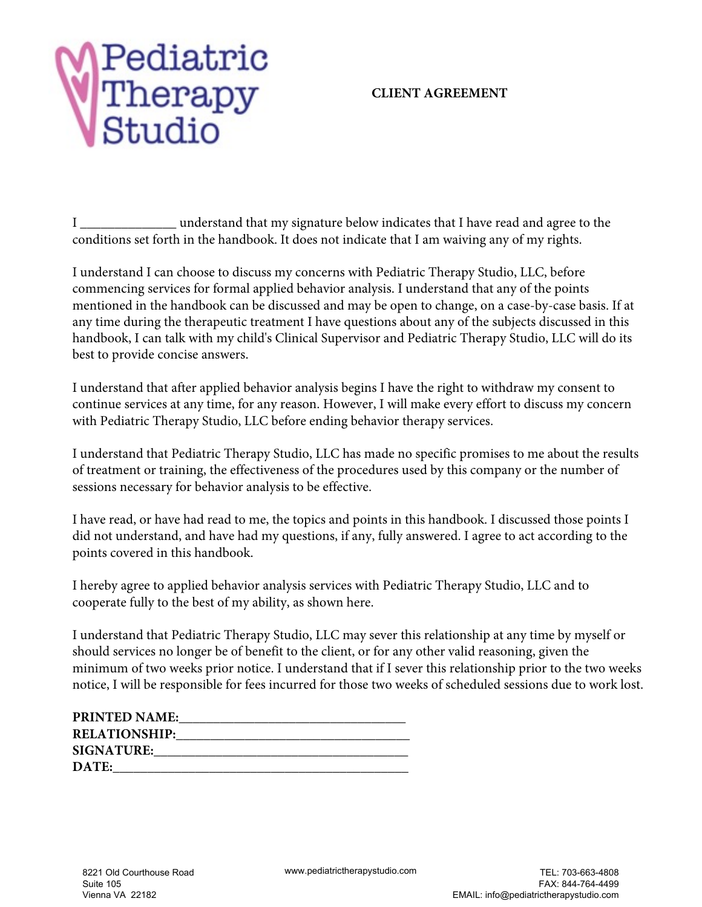### **CLIENT AGREEMENT**

I \_\_\_\_\_\_\_\_\_\_\_\_\_\_ understand that my signature below indicates that I have read and agree to the conditions set forth in the handbook. It does not indicate that I am waiving any of my rights.

I understand I can choose to discuss my concerns with Pediatric Therapy Studio, LLC, before commencing services for formal applied behavior analysis. I understand that any of the points mentioned in the handbook can be discussed and may be open to change, on a case-by-case basis. If at any time during the therapeutic treatment I have questions about any of the subjects discussed in this handbook, I can talk with my child's Clinical Supervisor and Pediatric Therapy Studio, LLC will do its best to provide concise answers.

I understand that after applied behavior analysis begins I have the right to withdraw my consent to continue services at any time, for any reason. However, I will make every effort to discuss my concern with Pediatric Therapy Studio, LLC before ending behavior therapy services.

I understand that Pediatric Therapy Studio, LLC has made no specific promises to me about the results of treatment or training, the effectiveness of the procedures used by this company or the number of sessions necessary for behavior analysis to be effective.

I have read, or have had read to me, the topics and points in this handbook. I discussed those points I did not understand, and have had my questions, if any, fully answered. I agree to act according to the points covered in this handbook.

I hereby agree to applied behavior analysis services with Pediatric Therapy Studio, LLC and to cooperate fully to the best of my ability, as shown here.

I understand that Pediatric Therapy Studio, LLC may sever this relationship at any time by myself or should services no longer be of benefit to the client, or for any other valid reasoning, given the minimum of two weeks prior notice. I understand that if I sever this relationship prior to the two weeks notice, I will be responsible for fees incurred for those two weeks of scheduled sessions due to work lost.

| <b>PRINTED NAME:</b> |  |
|----------------------|--|
| <b>RELATIONSHIP:</b> |  |
| <b>SIGNATURE:</b>    |  |
| DATE:                |  |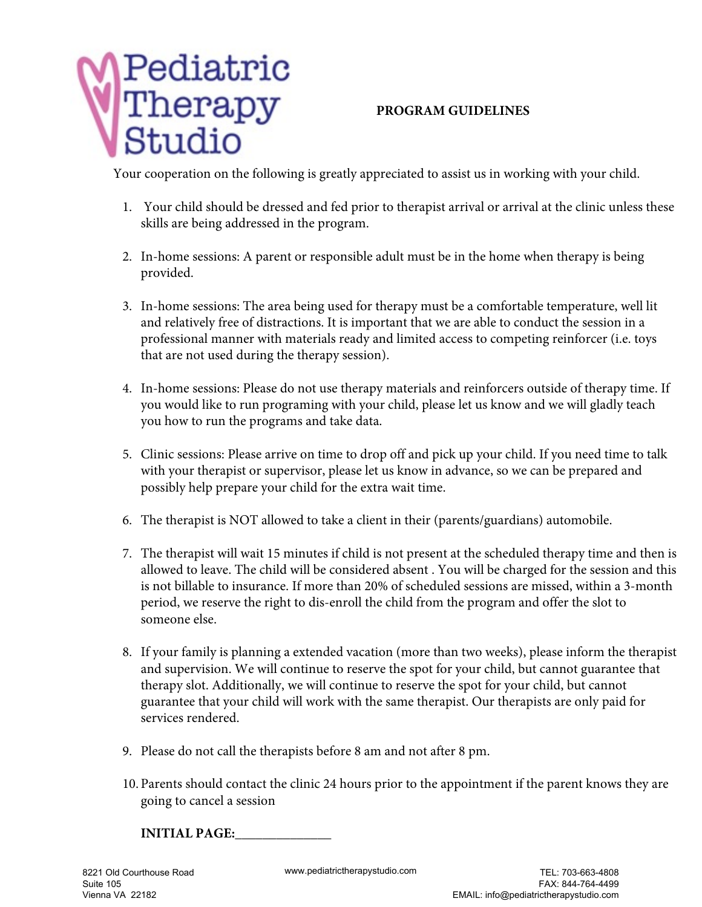

## **PROGRAM GUIDELINES**

Your cooperation on the following is greatly appreciated to assist us in working with your child.

- 1. Your child should be dressed and fed prior to therapist arrival or arrival at the clinic unless these skills are being addressed in the program.
- 2. In-home sessions: A parent or responsible adult must be in the home when therapy is being provided.
- 3. In-home sessions: The area being used for therapy must be a comfortable temperature, well lit and relatively free of distractions. It is important that we are able to conduct the session in a professional manner with materials ready and limited access to competing reinforcer (i.e. toys that are not used during the therapy session).
- 4. In-home sessions: Please do not use therapy materials and reinforcers outside of therapy time. If you would like to run programing with your child, please let us know and we will gladly teach you how to run the programs and take data.
- 5. Clinic sessions: Please arrive on time to drop off and pick up your child. If you need time to talk with your therapist or supervisor, please let us know in advance, so we can be prepared and possibly help prepare your child for the extra wait time.
- 6. The therapist is NOT allowed to take a client in their (parents/guardians) automobile.
- 7. The therapist will wait 15 minutes if child is not present at the scheduled therapy time and then is allowed to leave. The child will be considered absent . You will be charged for the session and this is not billable to insurance. If more than 20% of scheduled sessions are missed, within a 3-month period, we reserve the right to dis-enroll the child from the program and offer the slot to someone else.
- 8. If your family is planning a extended vacation (more than two weeks), please inform the therapist and supervision. We will continue to reserve the spot for your child, but cannot guarantee that therapy slot. Additionally, we will continue to reserve the spot for your child, but cannot guarantee that your child will work with the same therapist. Our therapists are only paid for services rendered.
- 9. Please do not call the therapists before 8 am and not after 8 pm.
- 10. Parents should contact the clinic 24 hours prior to the appointment if the parent knows they are going to cancel a session

**INITIAL PAGE:**\_\_\_\_\_\_\_\_\_\_\_\_\_\_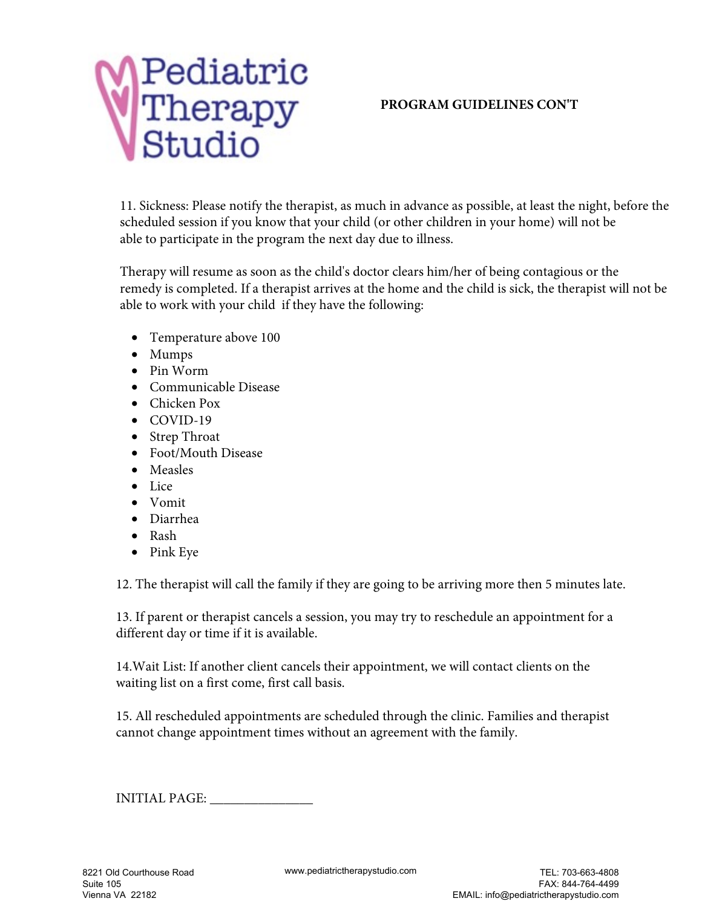

### **PROGRAM GUIDELINES CON'T**

11. Sickness: Please notify the therapist, as much in advance as possible, at least the night, before the scheduled session if you know that your child (or other children in your home) will not be able to participate in the program the next day due to illness.

Therapy will resume as soon as the child's doctor clears him/her of being contagious or the remedy is completed. If a therapist arrives at the home and the child is sick, the therapist will not be able to work with your child if they have the following:

- Temperature above 100
- Mumps
- Pin Worm
- Communicable Disease
- Chicken Pox
- COVID-19
- Strep Throat
- Foot/Mouth Disease
- Measles
- Lice
- Vomit
- Diarrhea
- Rash
- Pink Eye

12. The therapist will call the family if they are going to be arriving more then 5 minutes late.

13. If parent or therapist cancels a session, you may try to reschedule an appointment for a different day or time if it is available.

14.Wait List: If another client cancels their appointment, we will contact clients on the waiting list on a first come, first call basis.

15. All rescheduled appointments are scheduled through the clinic. Families and therapist cannot change appointment times without an agreement with the family.

INITIAL PAGE: \_\_\_\_\_\_\_\_\_\_\_\_\_\_\_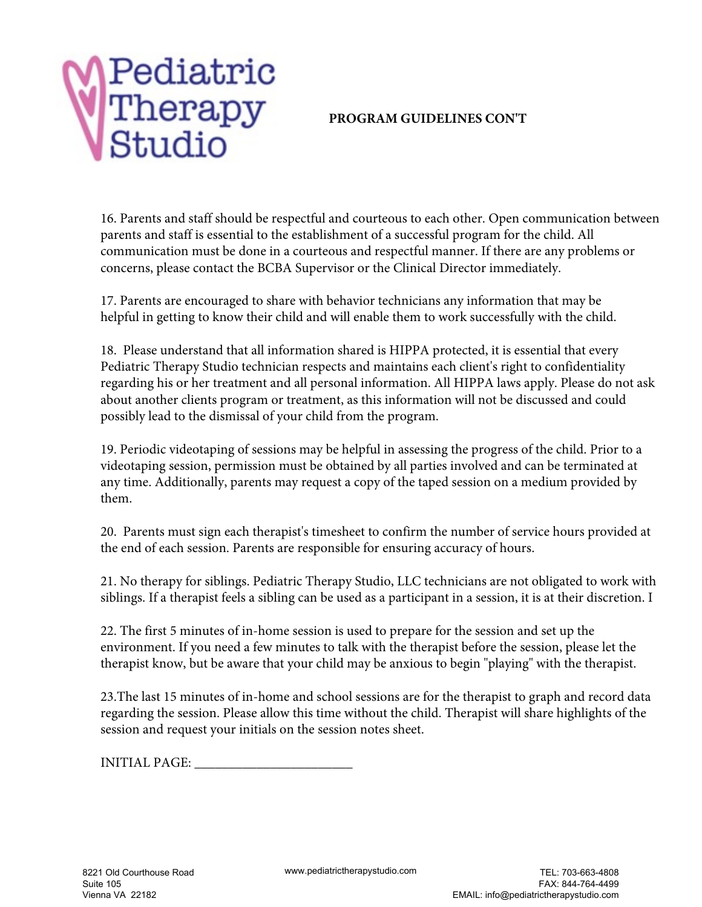## **PROGRAM GUIDELINES CON'T**

16. Parents and staff should be respectful and courteous to each other. Open communication between parents and staff is essential to the establishment of a successful program for the child. All communication must be done in a courteous and respectful manner. If there are any problems or concerns, please contact the BCBA Supervisor or the Clinical Director immediately.

17. Parents are encouraged to share with behavior technicians any information that may be helpful in getting to know their child and will enable them to work successfully with the child.

18. Please understand that all information shared is HIPPA protected, it is essential that every Pediatric Therapy Studio technician respects and maintains each client's right to confidentiality regarding his or her treatment and all personal information. All HIPPA laws apply. Please do not ask about another clients program or treatment, as this information will not be discussed and could possibly lead to the dismissal of your child from the program.

19. Periodic videotaping of sessions may be helpful in assessing the progress of the child. Prior to a videotaping session, permission must be obtained by all parties involved and can be terminated at any time. Additionally, parents may request a copy of the taped session on a medium provided by them.

20. Parents must sign each therapist's timesheet to confirm the number of service hours provided at the end of each session. Parents are responsible for ensuring accuracy of hours.

21. No therapy for siblings. Pediatric Therapy Studio, LLC technicians are not obligated to work with siblings. If a therapist feels a sibling can be used as a participant in a session, it is at their discretion. I

22. The first 5 minutes of in-home session is used to prepare for the session and set up the environment. If you need a few minutes to talk with the therapist before the session, please let the therapist know, but be aware that your child may be anxious to begin "playing" with the therapist.

23.The last 15 minutes of in-home and school sessions are for the therapist to graph and record data regarding the session. Please allow this time without the child. Therapist will share highlights of the session and request your initials on the session notes sheet.

INITIAL PAGE: \_\_\_\_\_\_\_\_\_\_\_\_\_\_\_\_\_\_\_\_\_\_\_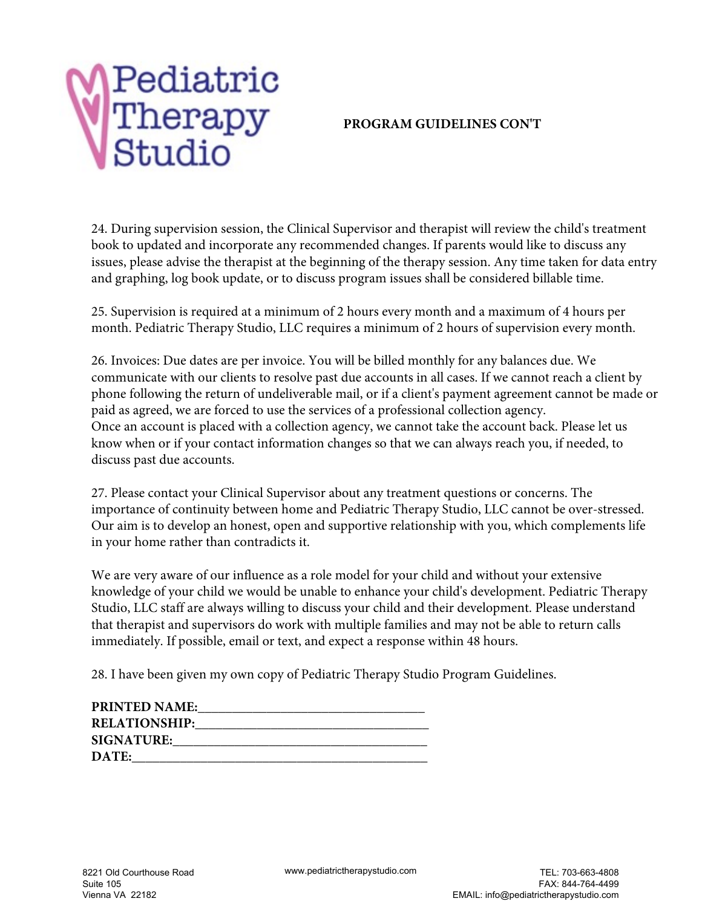#### **PROGRAM GUIDELINES CON'T**

24. During supervision session, the Clinical Supervisor and therapist will review the child's treatment book to updated and incorporate any recommended changes. If parents would like to discuss any issues, please advise the therapist at the beginning of the therapy session. Any time taken for data entry and graphing, log book update, or to discuss program issues shall be considered billable time.

25. Supervision is required at a minimum of 2 hours every month and a maximum of 4 hours per month. Pediatric Therapy Studio, LLC requires a minimum of 2 hours of supervision every month.

26. Invoices: Due dates are per invoice. You will be billed monthly for any balances due. We communicate with our clients to resolve past due accounts in all cases. If we cannot reach a client by phone following the return of undeliverable mail, or if a client's payment agreement cannot be made or paid as agreed, we are forced to use the services of a professional collection agency. Once an account is placed with a collection agency, we cannot take the account back. Please let us know when or if your contact information changes so that we can always reach you, if needed, to discuss past due accounts.

27. Please contact your Clinical Supervisor about any treatment questions or concerns. The importance of continuity between home and Pediatric Therapy Studio, LLC cannot be over-stressed. Our aim is to develop an honest, open and supportive relationship with you, which complements life in your home rather than contradicts it.

We are very aware of our influence as a role model for your child and without your extensive knowledge of your child we would be unable to enhance your child's development. Pediatric Therapy Studio, LLC staff are always willing to discuss your child and their development. Please understand that therapist and supervisors do work with multiple families and may not be able to return calls immediately. If possible, email or text, and expect a response within 48 hours.

28. I have been given my own copy of Pediatric Therapy Studio Program Guidelines.

| <b>PRINTED NAME:</b> |  |
|----------------------|--|
| <b>RELATIONSHIP:</b> |  |
| <b>SIGNATURE:</b>    |  |
| DATE:                |  |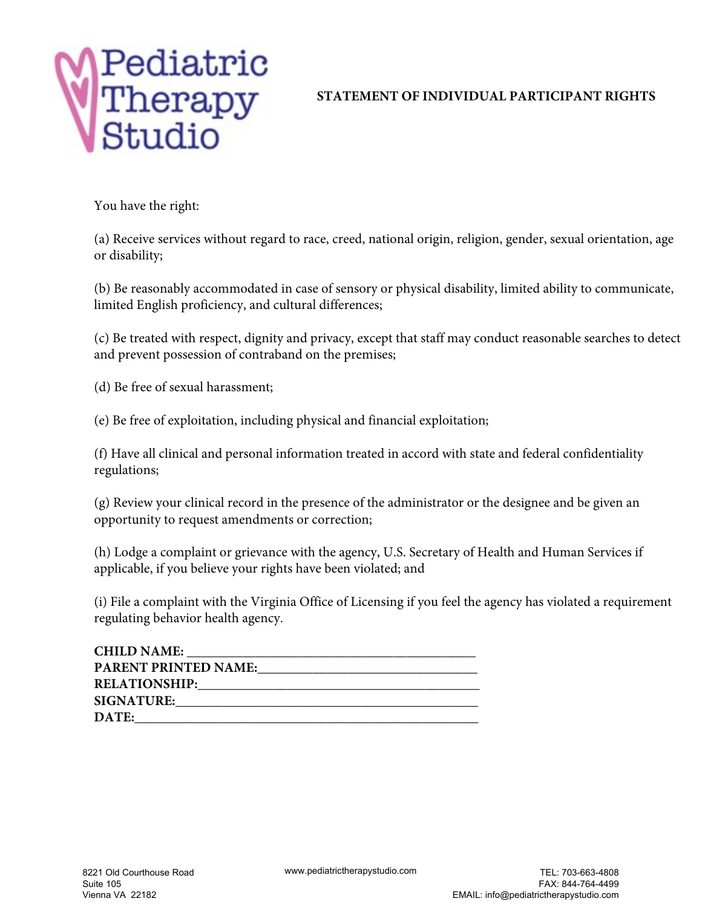## **STATEMENT OF INDIVIDUAL PARTICIPANT RIGHTS**

You have the right:

(a) Receive services without regard to race, creed, national origin, religion, gender, sexual orientation, age or disability;

(b) Be reasonably accommodated in case of sensory or physical disability, limited ability to communicate, limited English proficiency, and cultural differences;

(c) Be treated with respect, dignity and privacy, except that staff may conduct reasonable searches to detect and prevent possession of contraband on the premises;

(d) Be free of sexual harassment;

(e) Be free of exploitation, including physical and financial exploitation;

(f) Have all clinical and personal information treated in accord with state and federal confidentiality regulations;

(g) Review your clinical record in the presence of the administrator or the designee and be given an opportunity to request amendments or correction;

(h) Lodge a complaint or grievance with the agency, U.S. Secretary of Health and Human Services if applicable, if you believe your rights have been violated; and

(i) File a complaint with the Virginia Office of Licensing if you feel the agency has violated a requirement regulating behavior health agency.

| <b>CHILD NAME:</b>          |
|-----------------------------|
| <b>PARENT PRINTED NAME:</b> |
| <b>RELATIONSHIP:</b>        |
| <b>SIGNATURE:</b>           |
| DATE:                       |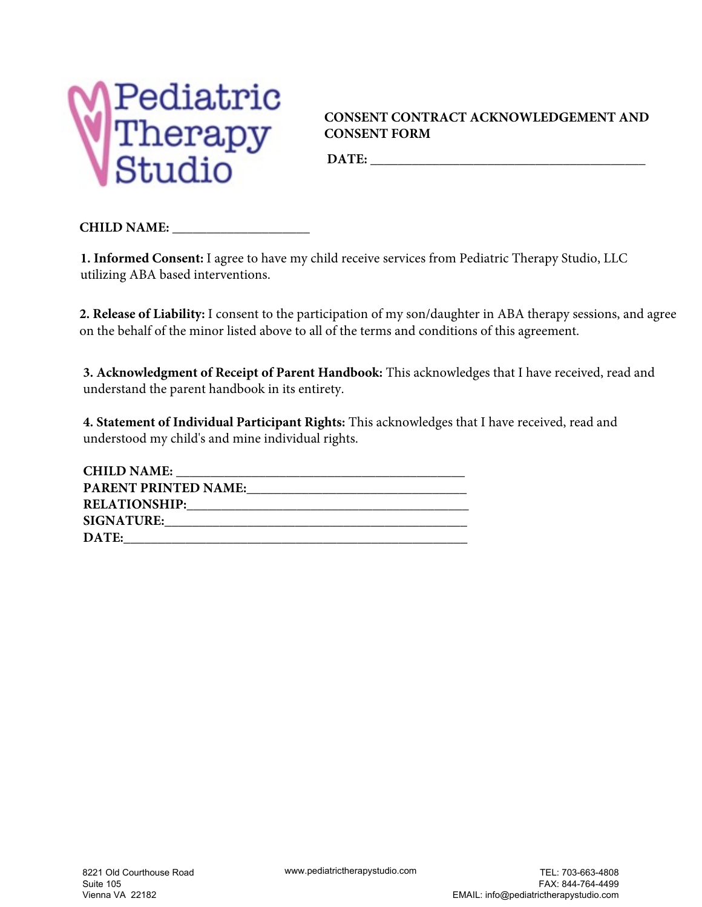

### **CONSENT CONTRACT ACKNOWLEDGEMENT AND CONSENT FORM**

DATE:

**CHILD NAME: \_\_\_\_\_\_\_\_\_\_\_\_\_\_\_\_\_\_\_\_**

**1. Informed Consent:** I agree to have my child receive services from Pediatric Therapy Studio, LLC utilizing ABA based interventions.

**2. Release of Liability:** I consent to the participation of my son/daughter in ABA therapy sessions, and agree on the behalf of the minor listed above to all of the terms and conditions of this agreement.

**3. Acknowledgment of Receipt of Parent Handbook:** This acknowledges that I have received, read and understand the parent handbook in its entirety.

**4. Statement of Individual Participant Rights:** This acknowledges that I have received, read and understood my child's and mine individual rights.

| <b>CHILD NAME:</b>          |
|-----------------------------|
| <b>PARENT PRINTED NAME:</b> |
| <b>RELATIONSHIP:</b>        |
| <b>SIGNATURE:</b>           |
| DATE:                       |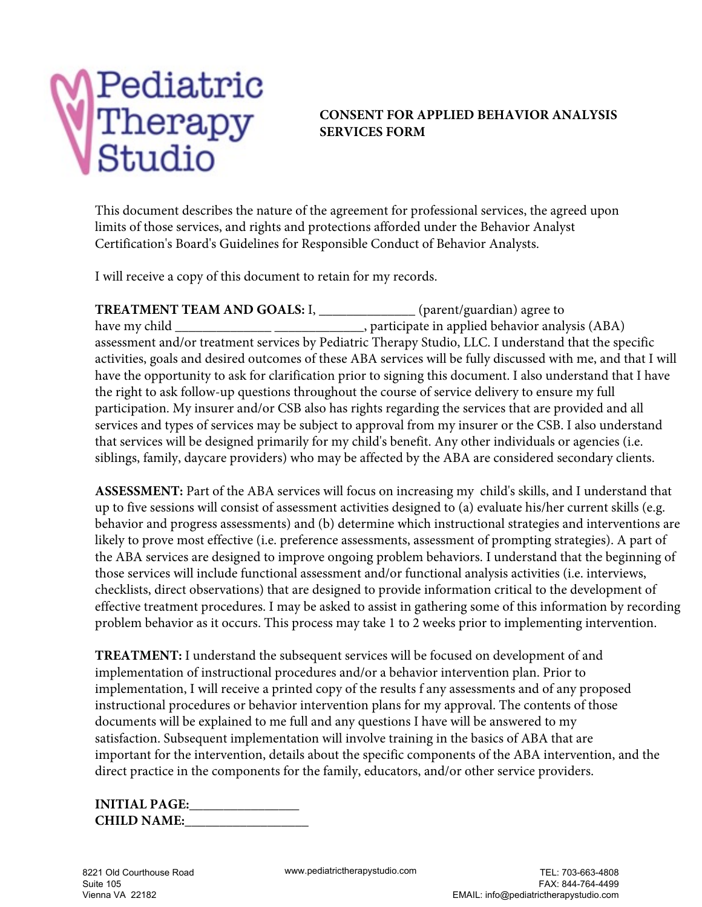### **CONSENT FOR APPLIED BEHAVIOR ANALYSIS SERVICES FORM**

This document describes the nature of the agreement for professional services, the agreed upon limits of those services, and rights and protections afforded under the Behavior Analyst Certification's Board's Guidelines for Responsible Conduct of Behavior Analysts.

I will receive a copy of this document to retain for my records.

**TREATMENT TEAM AND GOALS:** I, \_\_\_\_\_\_\_\_\_\_\_\_\_\_ (parent/guardian) agree to have my child \_\_\_\_\_\_\_\_\_\_\_\_\_\_\_\_\_\_\_\_\_\_\_\_\_\_\_\_\_\_\_\_\_, participate in applied behavior analysis (ABA) assessment and/or treatment services by Pediatric Therapy Studio, LLC. I understand that the specific activities, goals and desired outcomes of these ABA services will be fully discussed with me, and that I will have the opportunity to ask for clarification prior to signing this document. I also understand that I have the right to ask follow-up questions throughout the course of service delivery to ensure my full participation. My insurer and/or CSB also has rights regarding the services that are provided and all services and types of services may be subject to approval from my insurer or the CSB. I also understand that services will be designed primarily for my child's benefit. Any other individuals or agencies (i.e. siblings, family, daycare providers) who may be affected by the ABA are considered secondary clients.

**ASSESSMENT:** Part of the ABA services will focus on increasing my child's skills, and I understand that up to five sessions will consist of assessment activities designed to (a) evaluate his/her current skills (e.g. behavior and progress assessments) and (b) determine which instructional strategies and interventions are likely to prove most effective (i.e. preference assessments, assessment of prompting strategies). A part of the ABA services are designed to improve ongoing problem behaviors. I understand that the beginning of those services will include functional assessment and/or functional analysis activities (i.e. interviews, checklists, direct observations) that are designed to provide information critical to the development of effective treatment procedures. I may be asked to assist in gathering some of this information by recording problem behavior as it occurs. This process may take 1 to 2 weeks prior to implementing intervention.

**TREATMENT:** I understand the subsequent services will be focused on development of and implementation of instructional procedures and/or a behavior intervention plan. Prior to implementation, I will receive a printed copy of the results f any assessments and of any proposed instructional procedures or behavior intervention plans for my approval. The contents of those documents will be explained to me full and any questions I have will be answered to my satisfaction. Subsequent implementation will involve training in the basics of ABA that are important for the intervention, details about the specific components of the ABA intervention, and the direct practice in the components for the family, educators, and/or other service providers.

| <b>INITIAL PAGE:</b> |  |
|----------------------|--|
| <b>CHILD NAME:</b>   |  |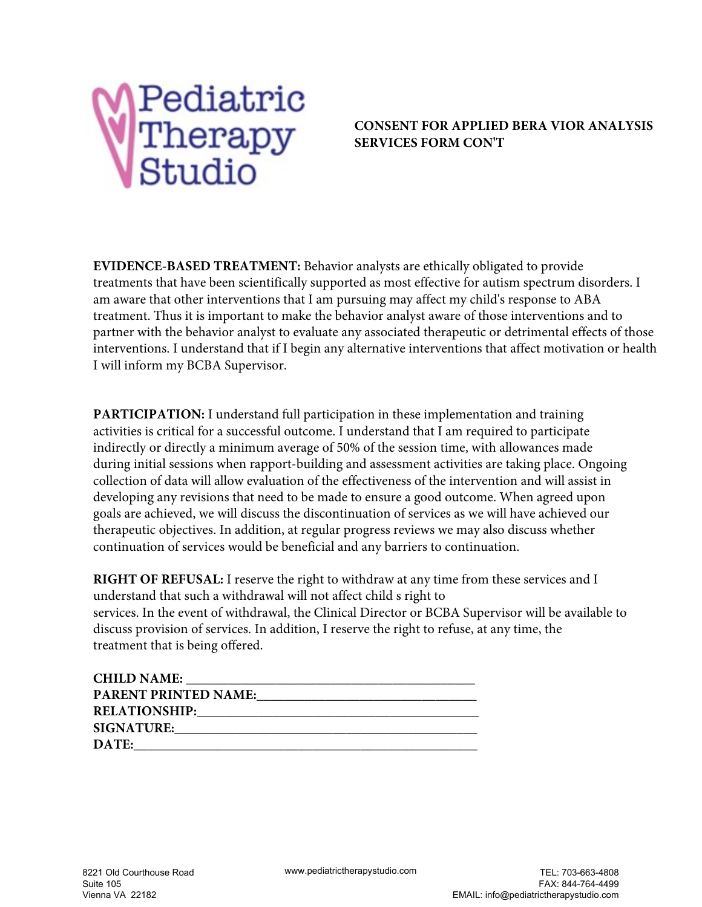

### **CONSENT FOR APPLIED BERA VIOR ANALYSIS SERVICES FORM CON'T**

**EVIDENCE-BASED TREATMENT:** Behavior analysts are ethically obligated to provide treatments that have been scientifically supported as most effective for autism spectrum disorders. I am aware that other interventions that I am pursuing may affect my child's response to ABA treatment. Thus it is important to make the behavior analyst aware of those interventions and to partner with the behavior analyst to evaluate any associated therapeutic or detrimental effects of those interventions. I understand that if I begin any alternative interventions that affect motivation or health I will inform my BCBA Supervisor.

**PARTICIPATION:** I understand full participation in these implementation and training activities is critical for a successful outcome. I understand that I am required to participate indirectly or directly a minimum average of 50% of the session time, with allowances made during initial sessions when rapport-building and assessment activities are taking place. Ongoing collection of data will allow evaluation of the effectiveness of the intervention and will assist in developing any revisions that need to be made to ensure a good outcome. When agreed upon goals are achieved, we will discuss the discontinuation of services as we will have achieved our therapeutic objectives. In addition, at regular progress reviews we may also discuss whether continuation of services would be beneficial and any barriers to continuation.

**RIGHT OF REFUSAL:** I reserve the right to withdraw at any time from these services and I understand that such a withdrawal will not affect child s right to services. In the event of withdrawal, the Clinical Director or BCBA Supervisor will be available to discuss provision of services. In addition, I reserve the right to refuse, at any time, the treatment that is being offered.

| <b>CHILD NAME:</b>          |
|-----------------------------|
| <b>PARENT PRINTED NAME:</b> |
| <b>RELATIONSHIP:</b>        |
| <b>SIGNATURE:</b>           |
| <b>DATE:</b>                |
|                             |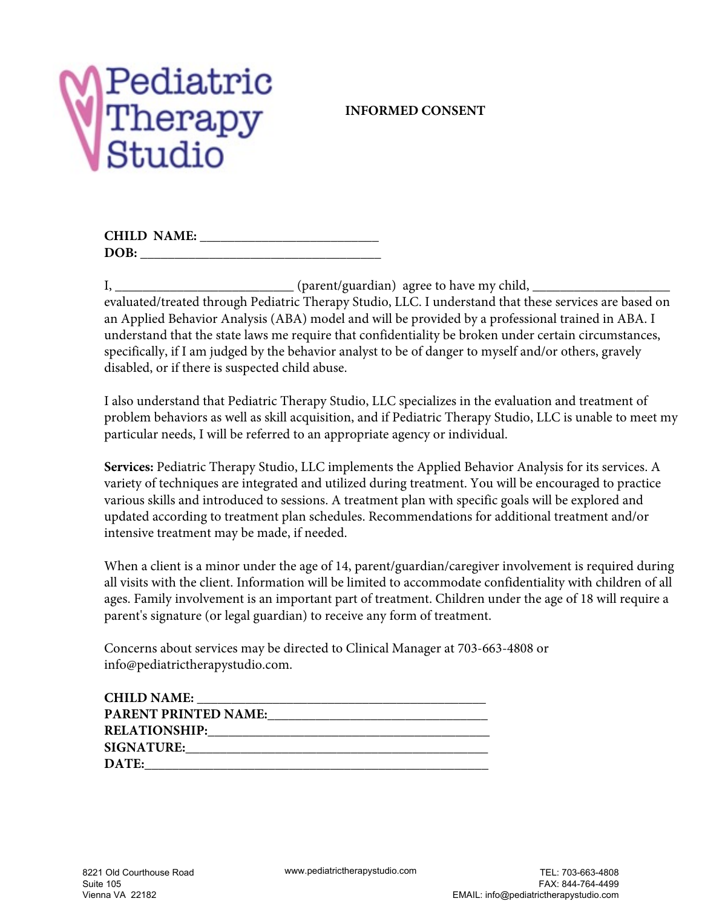## **INFORMED CONSENT**

|      | <b>CHILD NAME:</b> |  |
|------|--------------------|--|
| DOB: |                    |  |

 $I, \_\_\_\_\_\_\_\_$  (parent/guardian) agree to have my child,  $\_\_\_\_\_\_$ evaluated/treated through Pediatric Therapy Studio, LLC. I understand that these services are based on an Applied Behavior Analysis (ABA) model and will be provided by a professional trained in ABA. I understand that the state laws me require that confidentiality be broken under certain circumstances, specifically, if I am judged by the behavior analyst to be of danger to myself and/or others, gravely disabled, or if there is suspected child abuse.

I also understand that Pediatric Therapy Studio, LLC specializes in the evaluation and treatment of problem behaviors as well as skill acquisition, and if Pediatric Therapy Studio, LLC is unable to meet my particular needs, I will be referred to an appropriate agency or individual.

**Services:** Pediatric Therapy Studio, LLC implements the Applied Behavior Analysis for its services. A variety of techniques are integrated and utilized during treatment. You will be encouraged to practice various skills and introduced to sessions. A treatment plan with specific goals will be explored and updated according to treatment plan schedules. Recommendations for additional treatment and/or intensive treatment may be made, if needed.

When a client is a minor under the age of 14, parent/guardian/caregiver involvement is required during all visits with the client. Information will be limited to accommodate confidentiality with children of all ages. Family involvement is an important part of treatment. Children under the age of 18 will require a parent's signature (or legal guardian) to receive any form of treatment.

Concerns about services may be directed to Clinical Manager at 703-663-4808 or info@pediatrictherapystudio.com.

| <b>CHILD NAME:</b>          |  |
|-----------------------------|--|
| <b>PARENT PRINTED NAME:</b> |  |
| <b>RELATIONSHIP:</b>        |  |
| <b>SIGNATURE:</b>           |  |
| DATE:                       |  |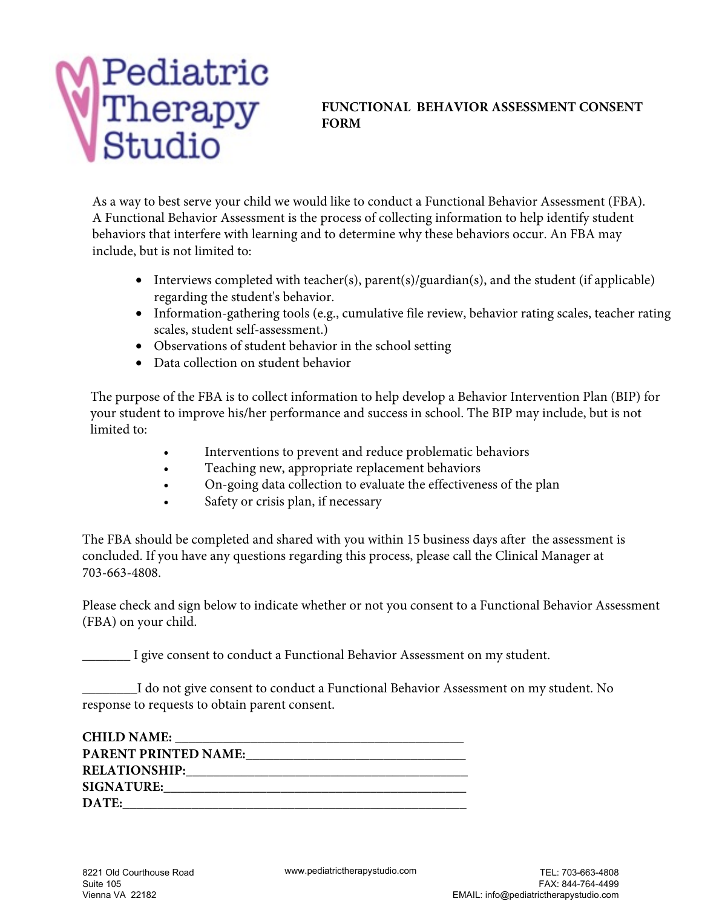## **FUNCTIONAL BEHAVIOR ASSESSMENT CONSENT FORM**

As a way to best serve your child we would like to conduct a Functional Behavior Assessment (FBA). A Functional Behavior Assessment is the process of collecting information to help identify student behaviors that interfere with learning and to determine why these behaviors occur. An FBA may include, but is not limited to:

- Interviews completed with teacher(s), parent(s)/guardian(s), and the student (if applicable) regarding the student's behavior.
- Information-gathering tools (e.g., cumulative file review, behavior rating scales, teacher rating scales, student self-assessment.)
- Observations of student behavior in the school setting
- Data collection on student behavior

The purpose of the FBA is to collect information to help develop a Behavior Intervention Plan (BIP) for your student to improve his/her performance and success in school. The BIP may include, but is not limited to:

- Interventions to prevent and reduce problematic behaviors
- Teaching new, appropriate replacement behaviors
- On-going data collection to evaluate the effectiveness of the plan
- Safety or crisis plan, if necessary

The FBA should be completed and shared with you within 15 business days after the assessment is concluded. If you have any questions regarding this process, please call the Clinical Manager at 703-663-4808.

Please check and sign below to indicate whether or not you consent to a Functional Behavior Assessment (FBA) on your child.

\_\_\_\_\_\_\_ I give consent to conduct a Functional Behavior Assessment on my student.

\_\_\_\_\_\_\_\_I do not give consent to conduct a Functional Behavior Assessment on my student. No response to requests to obtain parent consent.

| <b>CHILD NAME:</b>                                                                                                                                                                                                             |
|--------------------------------------------------------------------------------------------------------------------------------------------------------------------------------------------------------------------------------|
| <b>PARENT PRINTED NAME:</b>                                                                                                                                                                                                    |
| RELATIONSHIP: Parameters and the second services of the services of the services of the services of the services of the services of the services of the services of the services of the services of the services of the servic |
| <b>SIGNATURE:</b>                                                                                                                                                                                                              |
| DATE:                                                                                                                                                                                                                          |
|                                                                                                                                                                                                                                |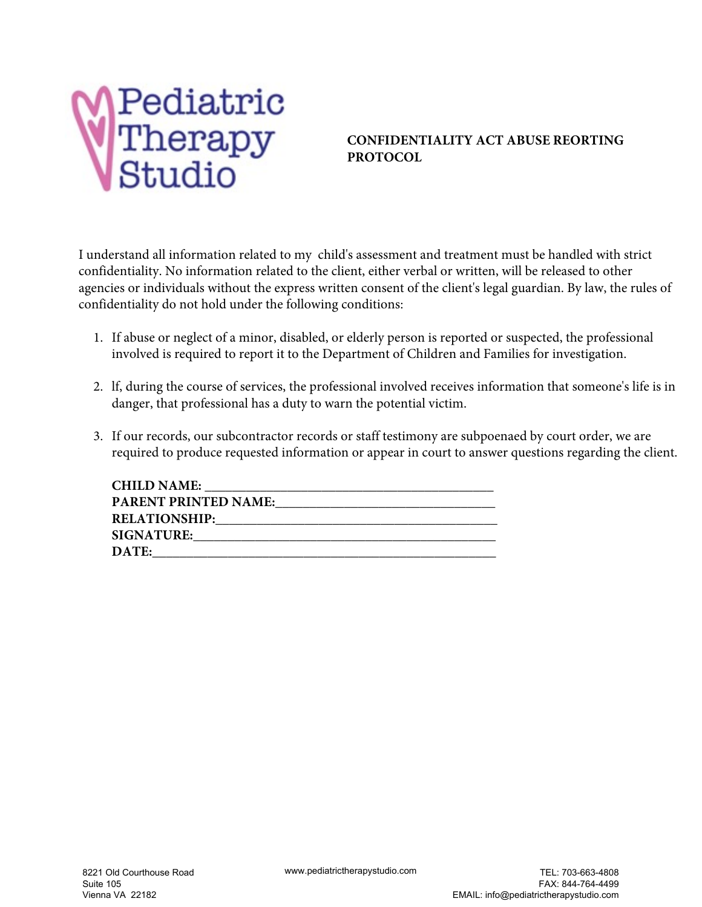

### **CONFIDENTIALITY ACT ABUSE REORTING PROTOCOL**

I understand all information related to my child's assessment and treatment must be handled with strict confidentiality. No information related to the client, either verbal or written, will be released to other agencies or individuals without the express written consent of the client's legal guardian. By law, the rules of confidentiality do not hold under the following conditions:

- 1. If abuse or neglect of a minor, disabled, or elderly person is reported or suspected, the professional involved is required to report it to the Department of Children and Families for investigation.
- 2. lf, during the course of services, the professional involved receives information that someone's life is in danger, that professional has a duty to warn the potential victim.
- 3. If our records, our subcontractor records or staff testimony are subpoenaed by court order, we are required to produce requested information or appear in court to answer questions regarding the client.

| <b>CHILD NAME:</b>          |
|-----------------------------|
| <b>PARENT PRINTED NAME:</b> |
| <b>RELATIONSHIP:</b>        |
| <b>SIGNATURE:</b>           |
| <b>DATE:</b>                |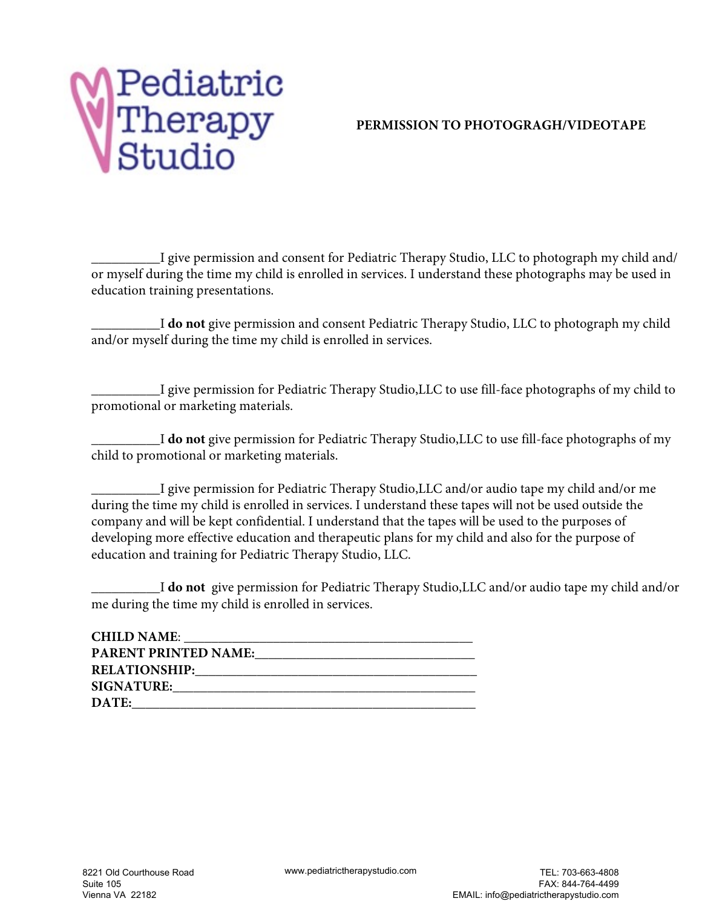## **PERMISSION TO PHOTOGRAGH/VIDEOTAPE**

\_\_\_\_\_\_\_\_\_\_I give permission and consent for Pediatric Therapy Studio, LLC to photograph my child and/ or myself during the time my child is enrolled in services. I understand these photographs may be used in education training presentations.

\_\_\_\_\_\_\_\_\_\_I **do not** give permission and consent Pediatric Therapy Studio, LLC to photograph my child and/or myself during the time my child is enrolled in services.

\_\_\_\_\_\_\_\_\_\_I give permission for Pediatric Therapy Studio,LLC to use fill-face photographs of my child to promotional or marketing materials.

\_\_\_\_\_\_\_\_\_\_I **do not** give permission for Pediatric Therapy Studio,LLC to use fill-face photographs of my child to promotional or marketing materials.

\_\_\_\_\_\_\_\_\_\_I give permission for Pediatric Therapy Studio,LLC and/or audio tape my child and/or me during the time my child is enrolled in services. I understand these tapes will not be used outside the company and will be kept confidential. I understand that the tapes will be used to the purposes of developing more effective education and therapeutic plans for my child and also for the purpose of education and training for Pediatric Therapy Studio, LLC.

\_\_\_\_\_\_\_\_\_\_I **do not** give permission for Pediatric Therapy Studio,LLC and/or audio tape my child and/or me during the time my child is enrolled in services.

| <b>CHILD NAME:</b>          |  |
|-----------------------------|--|
| <b>PARENT PRINTED NAME:</b> |  |
| <b>RELATIONSHIP:</b>        |  |
| <b>SIGNATURE:</b>           |  |
| DATE:                       |  |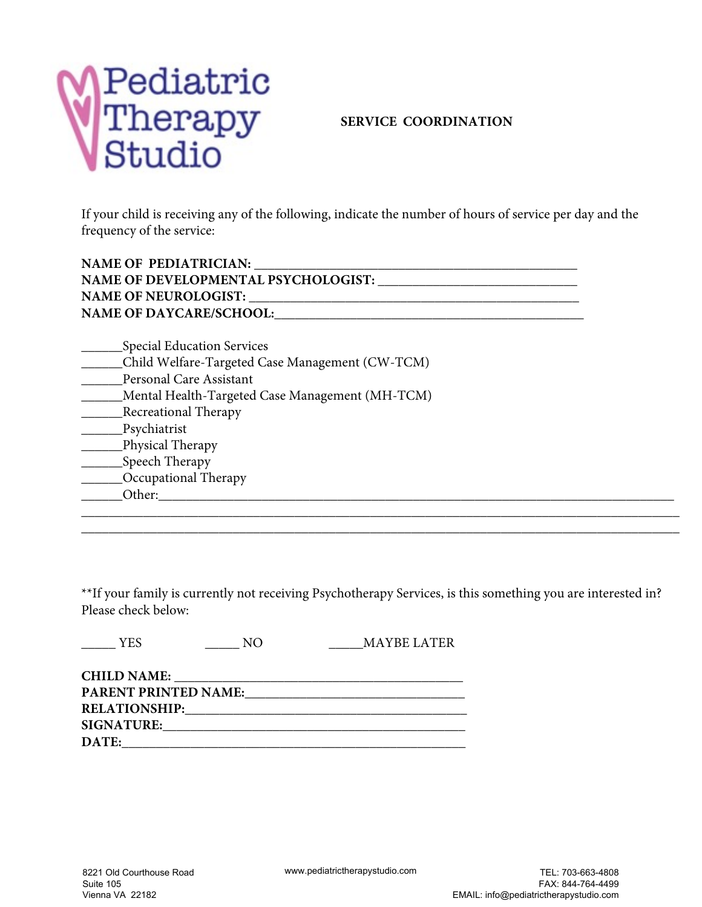

#### **SERVICE COORDINATION**

If your child is receiving any of the following, indicate the number of hours of service per day and the frequency of the service:

| <b>NAME OF PEDIATRICIAN:</b>               |
|--------------------------------------------|
| <b>NAME OF DEVELOPMENTAL PSYCHOLOGIST:</b> |
| <b>NAME OF NEUROLOGIST:</b>                |
| <b>NAME OF DAYCARE/SCHOOL:</b>             |
|                                            |

| Special Education Services                      |  |
|-------------------------------------------------|--|
| Child Welfare-Targeted Case Management (CW-TCM) |  |
| Personal Care Assistant                         |  |
| Mental Health-Targeted Case Management (MH-TCM) |  |
| <b>Recreational Therapy</b>                     |  |
| Psychiatrist                                    |  |
| Physical Therapy                                |  |
| Speech Therapy                                  |  |
| Occupational Therapy                            |  |
| Other:                                          |  |

\*\*If your family is currently not receiving Psychotherapy Services, is this something you are interested in? Please check below:

\_\_\_\_\_\_\_\_\_\_\_\_\_\_\_\_\_\_\_\_\_\_\_\_\_\_\_\_\_\_\_\_\_\_\_\_\_\_\_\_\_\_\_\_\_\_\_\_\_\_\_\_\_\_\_\_\_\_\_\_\_\_\_\_\_\_\_\_\_\_\_\_\_\_\_\_\_\_\_\_\_\_\_\_\_\_\_ \_\_\_\_\_\_\_\_\_\_\_\_\_\_\_\_\_\_\_\_\_\_\_\_\_\_\_\_\_\_\_\_\_\_\_\_\_\_\_\_\_\_\_\_\_\_\_\_\_\_\_\_\_\_\_\_\_\_\_\_\_\_\_\_\_\_\_\_\_\_\_\_\_\_\_\_\_\_\_\_\_\_\_\_\_\_\_

| $\equiv$ YES                | NΟ | MAYBE LATER                                                                                                           |
|-----------------------------|----|-----------------------------------------------------------------------------------------------------------------------|
|                             |    |                                                                                                                       |
| <b>PARENT PRINTED NAME:</b> |    | <u>and the state of the state of the state of the state of the state of the state of the state of the state of th</u> |
|                             |    |                                                                                                                       |
|                             |    |                                                                                                                       |
| DATE:                       |    | ,我们也不会有什么。""我们的人,我们也不会有什么?""我们的人,我们也不会有什么?""我们的人,我们也不会有什么?""我们的人,我们也不会有什么?""我们的人                                      |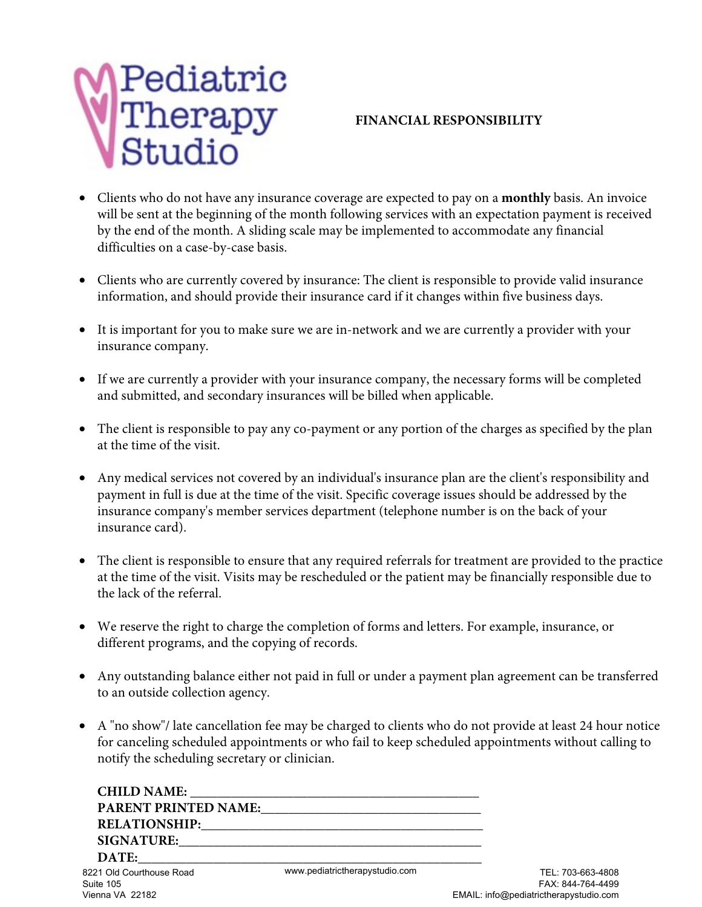

### **FINANCIAL RESPONSIBILITY**

- Clients who do not have any insurance coverage are expected to pay on a **monthly** basis. An invoice will be sent at the beginning of the month following services with an expectation payment is received by the end of the month. A sliding scale may be implemented to accommodate any financial difficulties on a case-by-case basis.
- Clients who are currently covered by insurance: The client is responsible to provide valid insurance information, and should provide their insurance card if it changes within five business days.
- It is important for you to make sure we are in-network and we are currently a provider with your insurance company.
- If we are currently a provider with your insurance company, the necessary forms will be completed and submitted, and secondary insurances will be billed when applicable.
- The client is responsible to pay any co-payment or any portion of the charges as specified by the plan at the time of the visit.
- Any medical services not covered by an individual's insurance plan are the client's responsibility and payment in full is due at the time of the visit. Specific coverage issues should be addressed by the insurance company's member services department (telephone number is on the back of your insurance card).
- The client is responsible to ensure that any required referrals for treatment are provided to the practice at the time of the visit. Visits may be rescheduled or the patient may be financially responsible due to the lack of the referral.
- We reserve the right to charge the completion of forms and letters. For example, insurance, or different programs, and the copying of records.
- Any outstanding balance either not paid in full or under a payment plan agreement can be transferred to an outside collection agency.
- A "no show"/ late cancellation fee may be charged to clients who do not provide at least 24 hour notice for canceling scheduled appointments or who fail to keep scheduled appointments without calling to notify the scheduling secretary or clinician.

| <b>CHILD NAME:</b>                    |                                |
|---------------------------------------|--------------------------------|
| <b>PARENT PRINTED NAME:</b>           |                                |
|                                       |                                |
| SIGNATURE:                            |                                |
| DATE:                                 |                                |
| 8221 Old Courthouse Road<br>Suite 105 | www.pediatrictherapystudio.com |

Vienna VA 22182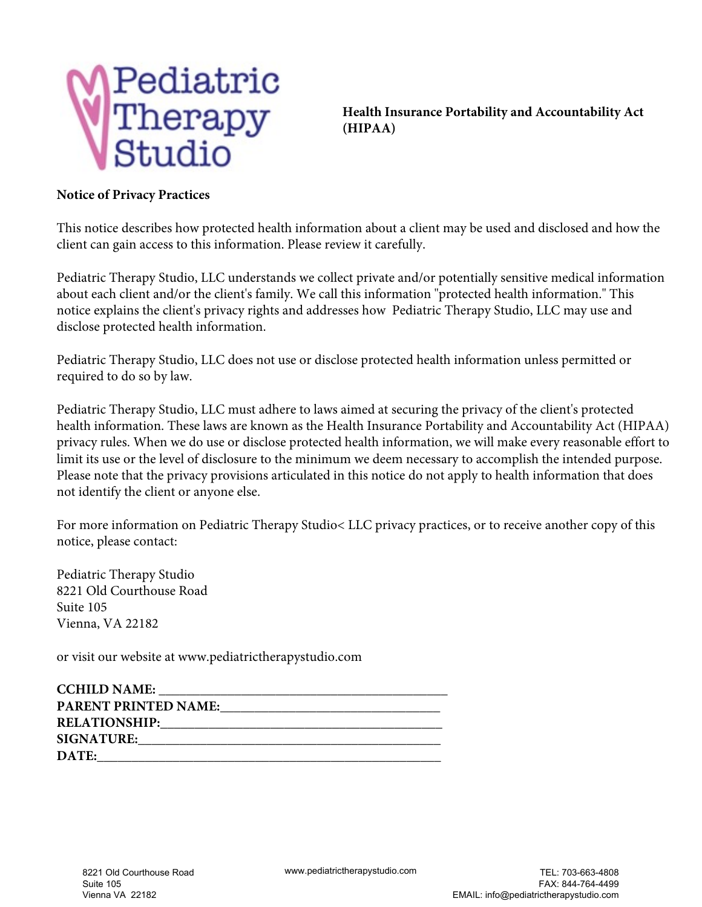

**Health Insurance Portability and Accountability Act (HIPAA)**

#### **Notice of Privacy Practices**

This notice describes how protected health information about a client may be used and disclosed and how the client can gain access to this information. Please review it carefully.

Pediatric Therapy Studio, LLC understands we collect private and/or potentially sensitive medical information about each client and/or the client's family. We call this information "protected health information." This notice explains the client's privacy rights and addresses how Pediatric Therapy Studio, LLC may use and disclose protected health information.

Pediatric Therapy Studio, LLC does not use or disclose protected health information unless permitted or required to do so by law.

Pediatric Therapy Studio, LLC must adhere to laws aimed at securing the privacy of the client's protected health information. These laws are known as the Health Insurance Portability and Accountability Act (HIPAA) privacy rules. When we do use or disclose protected health information, we will make every reasonable effort to limit its use or the level of disclosure to the minimum we deem necessary to accomplish the intended purpose. Please note that the privacy provisions articulated in this notice do not apply to health information that does not identify the client or anyone else.

For more information on Pediatric Therapy Studio< LLC privacy practices, or to receive another copy of this notice, please contact:

Pediatric Therapy Studio 8221 Old Courthouse Road Suite 105 Vienna, VA 22182

or visit our website at www.pediatrictherapystudio.com

| <b>CCHILD NAME:</b>         |
|-----------------------------|
| <b>PARENT PRINTED NAME:</b> |
| <b>RELATIONSHIP:</b>        |
| <b>SIGNATURE:</b>           |
| DATE:                       |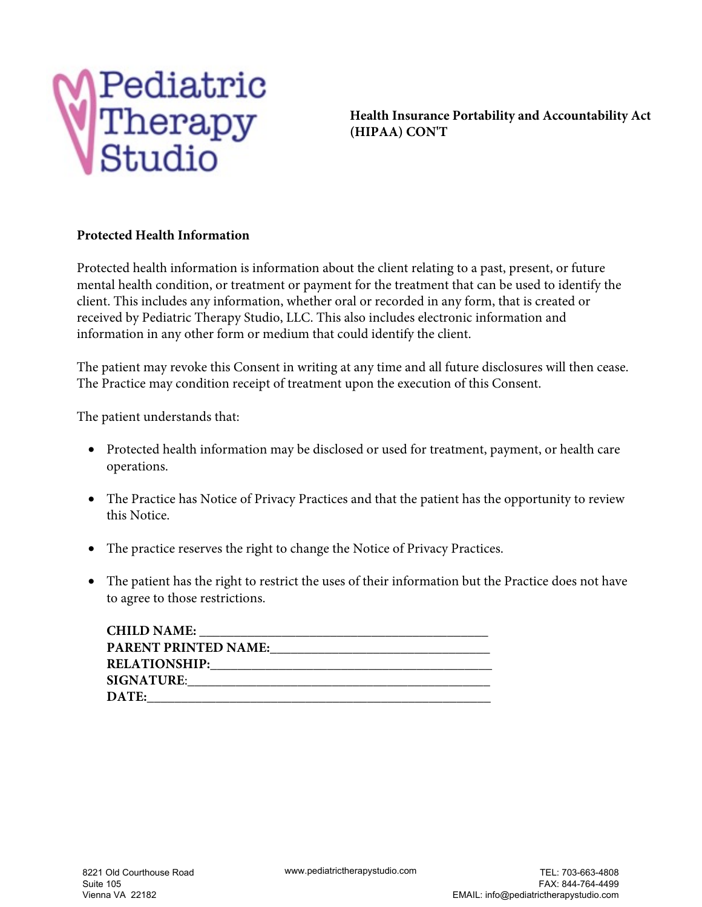

**Health Insurance Portability and Accountability Act (HIPAA) CON'T**

#### **Protected Health Information**

Protected health information is information about the client relating to a past, present, or future mental health condition, or treatment or payment for the treatment that can be used to identify the client. This includes any information, whether oral or recorded in any form, that is created or received by Pediatric Therapy Studio, LLC. This also includes electronic information and information in any other form or medium that could identify the client.

The patient may revoke this Consent in writing at any time and all future disclosures will then cease. The Practice may condition receipt of treatment upon the execution of this Consent.

The patient understands that:

- Protected health information may be disclosed or used for treatment, payment, or health care operations.
- The Practice has Notice of Privacy Practices and that the patient has the opportunity to review this Notice.
- The practice reserves the right to change the Notice of Privacy Practices.
- The patient has the right to restrict the uses of their information but the Practice does not have to agree to those restrictions.

| <b>CHILD NAME:</b>          |
|-----------------------------|
| <b>PARENT PRINTED NAME:</b> |
| <b>RELATIONSHIP:</b>        |
| <b>SIGNATURE:</b>           |
| DATE:                       |
|                             |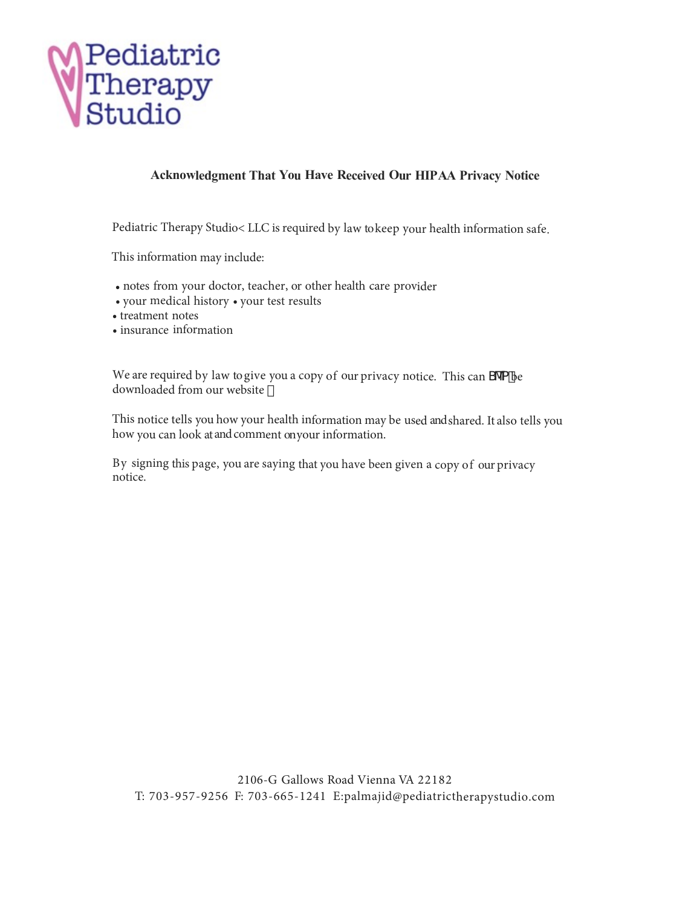

#### **Acknowledgment That You Have Received Our HIP AA Privacy Notice**

Pediatric Therapy Studio< LLC is required by law to keep your health information safe.

This information may include:

- notes from your doctor, teacher, or other health care provider
- your medical history your test results
- treatment notes
- insurance information

We are required by law to give you a copy of our privacy notice. This can S'ea be downloaded from our website  $\check{z}$ 

This notice tells you how your health information may be used and shared. It also tells you how you can look at and comment on your information.

By signing this page, you are saying that you have been given a copy of our privacy notice.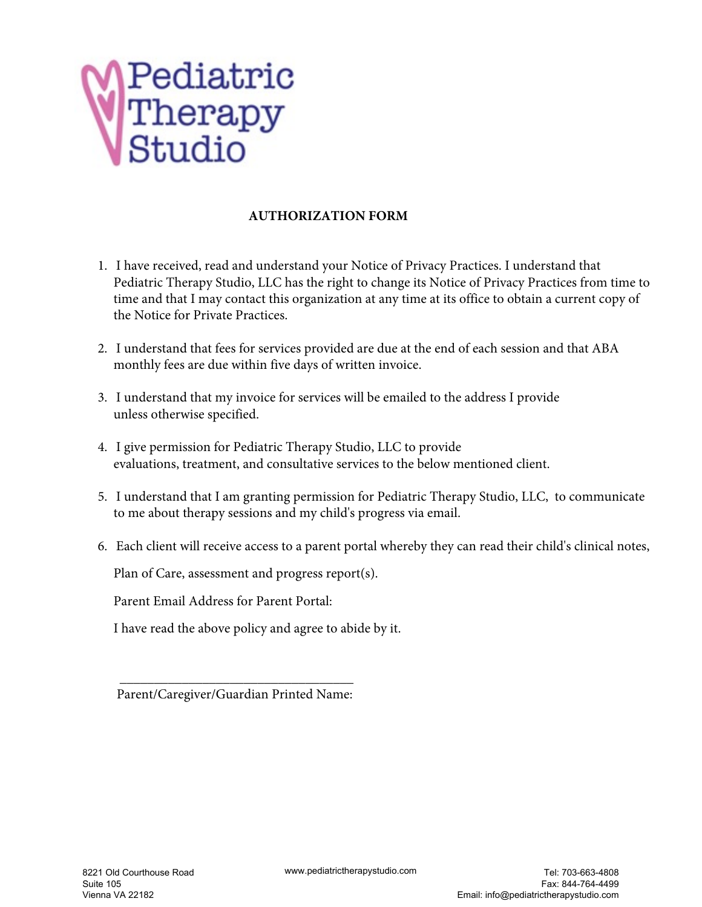

#### **AUTHORIZATION FORM**

- 1. I have received, read and understand your Notice of Privacy Practices. I understand that Pediatric Therapy Studio, LLC has the right to change its Notice of Privacy Practices from time to time and that I may contact this organization at any time at its office to obtain a current copy of the Notice for Private Practices.
- 2. I understand that fees for services provided are due at the end of each session and that ABA monthly fees are due within five days of written invoice.
- 3. I understand that my invoice for services will be emailed to the address I provide unless otherwise specified.
- 4. I give permission for Pediatric Therapy Studio, LLC to provide evaluations, treatment, and consultative services to the below mentioned client.
- 5. I understand that I am granting permission for Pediatric Therapy Studio, LLC, to communicate to me about therapy sessions and my child's progress via email.
- 6. Each client will receive access to a parent portal whereby they can read their child's clinical notes,

Plan of Care, assessment and progress report(s).

Parent Email Address for Parent Portal:

I have read the above policy and agree to abide by it.

Parent/Caregiver/Guardian Printed Name:

\_\_\_\_\_\_\_\_\_\_\_\_\_\_\_\_\_\_\_\_\_\_\_\_\_\_\_\_\_\_\_\_\_\_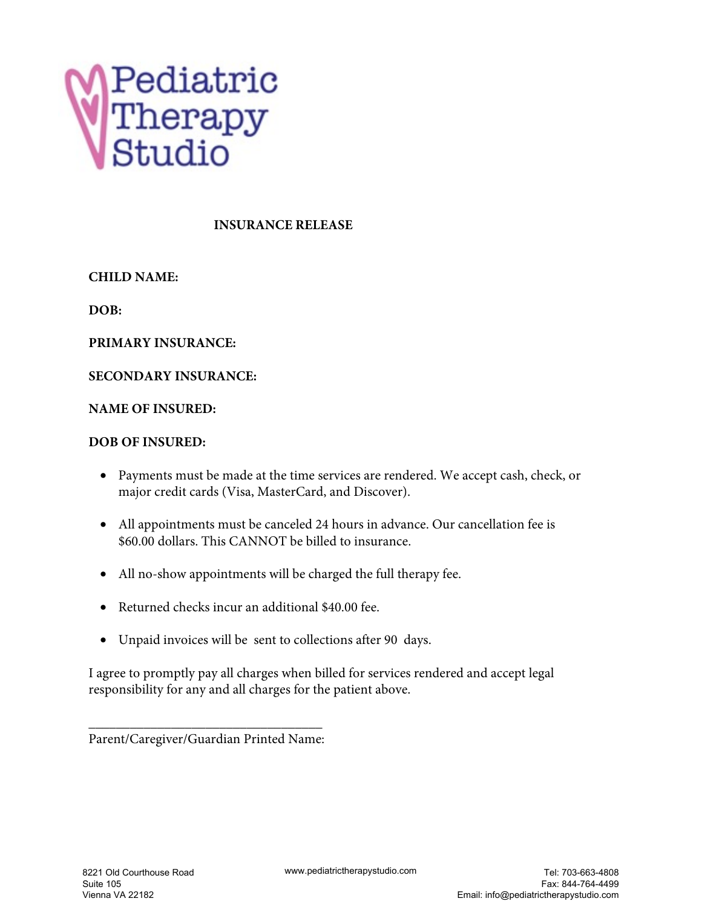

#### **INSURANCE RELEASE**

**CHILD NAME:** 

**DOB:**

**PRIMARY INSURANCE:**

#### **SECONDARY INSURANCE:**

#### **NAME OF INSURED:**

#### **DOB OF INSURED:**

- Payments must be made at the time services are rendered. We accept cash, check, or major credit cards (Visa, MasterCard, and Discover).
- All appointments must be canceled 24 hours in advance. Our cancellation fee is \$60.00 dollars. This CANNOT be billed to insurance.
- All no-show appointments will be charged the full therapy fee.
- Returned checks incur an additional \$40.00 fee.
- Unpaid invoices will be sent to collections after 90 days.

I agree to promptly pay all charges when billed for services rendered and accept legal responsibility for any and all charges for the patient above.

\_\_\_\_\_\_\_\_\_\_\_\_\_\_\_\_\_\_\_\_\_\_\_\_\_\_\_\_\_\_\_\_\_\_ Parent/Caregiver/Guardian Printed Name: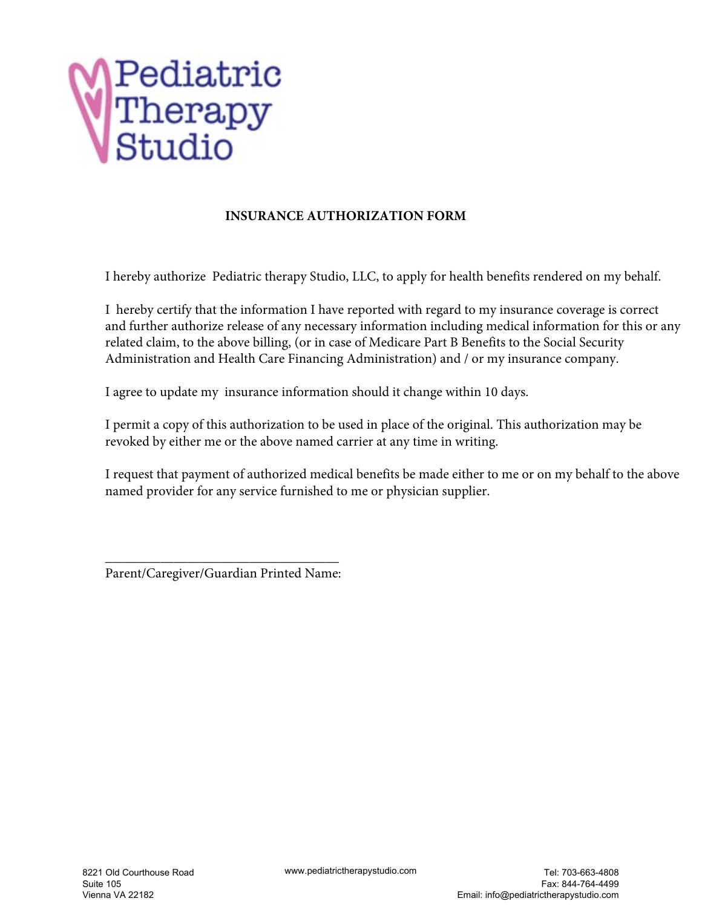

#### **INSURANCE AUTHORIZATION FORM**

I hereby authorize Pediatric therapy Studio, LLC, to apply for health benefits rendered on my behalf.

I hereby certify that the information I have reported with regard to my insurance coverage is correct and further authorize release of any necessary information including medical information for this or any related claim, to the above billing, (or in case of Medicare Part B Benefits to the Social Security Administration and Health Care Financing Administration) and / or my insurance company.

I agree to update my insurance information should it change within 10 days.

I permit a copy of this authorization to be used in place of the original. This authorization may be revoked by either me or the above named carrier at any time in writing.

I request that payment of authorized medical benefits be made either to me or on my behalf to the above named provider for any service furnished to me or physician supplier.

**\_\_\_\_\_\_\_\_\_\_\_\_\_\_\_\_\_\_\_\_\_\_\_\_\_\_\_\_\_\_\_\_\_\_**  Parent/Caregiver/Guardian Printed Name: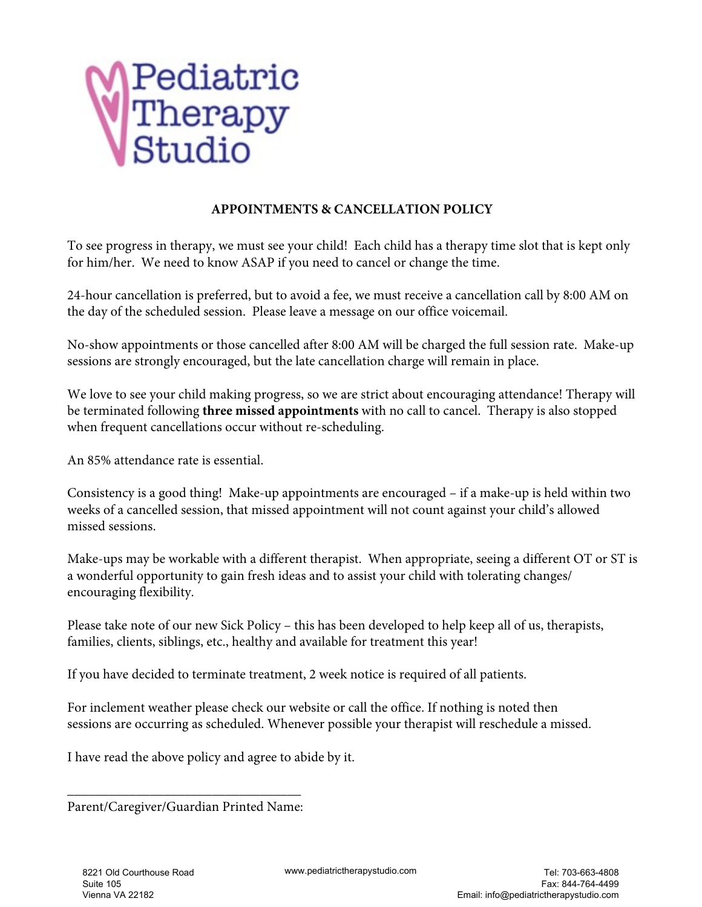

#### **APPOINTMENTS & CANCELLATION POLICY**

To see progress in therapy, we must see your child! Each child has a therapy time slot that is kept only for him/her. We need to know ASAP if you need to cancel or change the time.

24-hour cancellation is preferred, but to avoid a fee, we must receive a cancellation call by 8:00 AM on the day of the scheduled session. Please leave a message on our office voicemail.

No-show appointments or those cancelled after 8:00 AM will be charged the full session rate. Make-up sessions are strongly encouraged, but the late cancellation charge will remain in place.

We love to see your child making progress, so we are strict about encouraging attendance! Therapy will be terminated following **three missed appointments** with no call to cancel. Therapy is also stopped when frequent cancellations occur without re-scheduling.

An 85% attendance rate is essential.

Consistency is a good thing! Make-up appointments are encouraged – if a make-up is held within two weeks of a cancelled session, that missed appointment will not count against your child's allowed missed sessions.

Make-ups may be workable with a different therapist. When appropriate, seeing a different OT or ST is a wonderful opportunity to gain fresh ideas and to assist your child with tolerating changes/ encouraging flexibility.

Please take note of our new Sick Policy – this has been developed to help keep all of us, therapists, families, clients, siblings, etc., healthy and available for treatment this year!

If you have decided to terminate treatment, 2 week notice is required of all patients.

For inclement weather please check our website or call the office. If nothing is noted then sessions are occurring as scheduled. Whenever possible your therapist will reschedule a missed.

I have read the above policy and agree to abide by it.

\_\_\_\_\_\_\_\_\_\_\_\_\_\_\_\_\_\_\_\_\_\_\_\_\_\_\_\_\_\_\_\_\_\_ Parent/Caregiver/Guardian Printed Name: